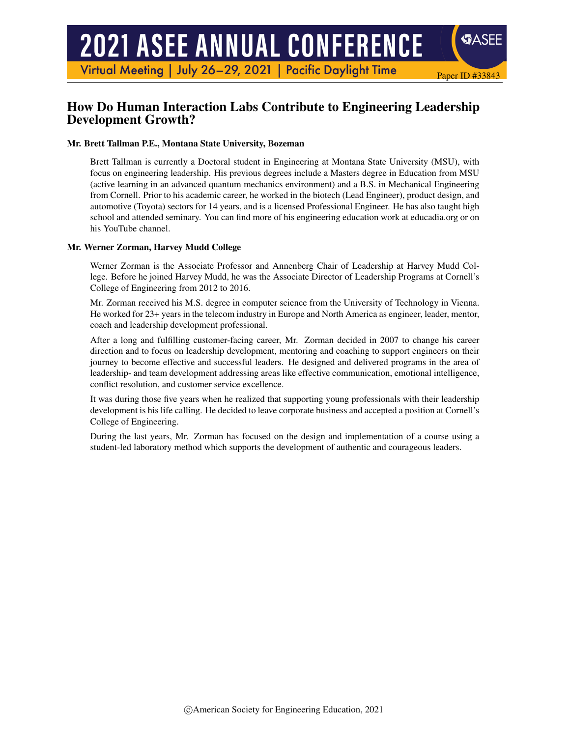# **2021 ASEE ANNUAL CONFERENCE**

Virtual Meeting | July 26-29, 2021 | Pacific Daylight Time

# How Do Human Interaction Labs Contribute to Engineering Leadership Development Growth?

Paper ID #33843

**SASEE** 

#### Mr. Brett Tallman P.E., Montana State University, Bozeman

Brett Tallman is currently a Doctoral student in Engineering at Montana State University (MSU), with focus on engineering leadership. His previous degrees include a Masters degree in Education from MSU (active learning in an advanced quantum mechanics environment) and a B.S. in Mechanical Engineering from Cornell. Prior to his academic career, he worked in the biotech (Lead Engineer), product design, and automotive (Toyota) sectors for 14 years, and is a licensed Professional Engineer. He has also taught high school and attended seminary. You can find more of his engineering education work at educadia.org or on his YouTube channel.

#### Mr. Werner Zorman, Harvey Mudd College

Werner Zorman is the Associate Professor and Annenberg Chair of Leadership at Harvey Mudd College. Before he joined Harvey Mudd, he was the Associate Director of Leadership Programs at Cornell's College of Engineering from 2012 to 2016.

Mr. Zorman received his M.S. degree in computer science from the University of Technology in Vienna. He worked for 23+ years in the telecom industry in Europe and North America as engineer, leader, mentor, coach and leadership development professional.

After a long and fulfilling customer-facing career, Mr. Zorman decided in 2007 to change his career direction and to focus on leadership development, mentoring and coaching to support engineers on their journey to become effective and successful leaders. He designed and delivered programs in the area of leadership- and team development addressing areas like effective communication, emotional intelligence, conflict resolution, and customer service excellence.

It was during those five years when he realized that supporting young professionals with their leadership development is his life calling. He decided to leave corporate business and accepted a position at Cornell's College of Engineering.

During the last years, Mr. Zorman has focused on the design and implementation of a course using a student-led laboratory method which supports the development of authentic and courageous leaders.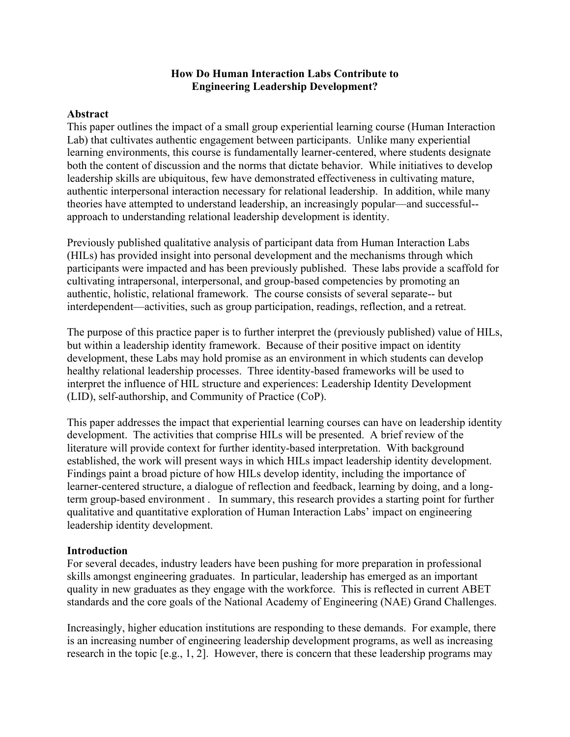## **How Do Human Interaction Labs Contribute to Engineering Leadership Development?**

## **Abstract**

This paper outlines the impact of a small group experiential learning course (Human Interaction Lab) that cultivates authentic engagement between participants. Unlike many experiential learning environments, this course is fundamentally learner-centered, where students designate both the content of discussion and the norms that dictate behavior. While initiatives to develop leadership skills are ubiquitous, few have demonstrated effectiveness in cultivating mature, authentic interpersonal interaction necessary for relational leadership. In addition, while many theories have attempted to understand leadership, an increasingly popular—and successful- approach to understanding relational leadership development is identity.

Previously published qualitative analysis of participant data from Human Interaction Labs (HILs) has provided insight into personal development and the mechanisms through which participants were impacted and has been previously published. These labs provide a scaffold for cultivating intrapersonal, interpersonal, and group-based competencies by promoting an authentic, holistic, relational framework. The course consists of several separate-- but interdependent—activities, such as group participation, readings, reflection, and a retreat.

The purpose of this practice paper is to further interpret the (previously published) value of HILs, but within a leadership identity framework. Because of their positive impact on identity development, these Labs may hold promise as an environment in which students can develop healthy relational leadership processes. Three identity-based frameworks will be used to interpret the influence of HIL structure and experiences: Leadership Identity Development (LID), self-authorship, and Community of Practice (CoP).

This paper addresses the impact that experiential learning courses can have on leadership identity development. The activities that comprise HILs will be presented. A brief review of the literature will provide context for further identity-based interpretation. With background established, the work will present ways in which HILs impact leadership identity development. Findings paint a broad picture of how HILs develop identity, including the importance of learner-centered structure, a dialogue of reflection and feedback, learning by doing, and a longterm group-based environment . In summary, this research provides a starting point for further qualitative and quantitative exploration of Human Interaction Labs' impact on engineering leadership identity development.

## **Introduction**

For several decades, industry leaders have been pushing for more preparation in professional skills amongst engineering graduates. In particular, leadership has emerged as an important quality in new graduates as they engage with the workforce. This is reflected in current ABET standards and the core goals of the National Academy of Engineering (NAE) Grand Challenges.

Increasingly, higher education institutions are responding to these demands. For example, there is an increasing number of engineering leadership development programs, as well as increasing research in the topic [e.g., 1, 2]. However, there is concern that these leadership programs may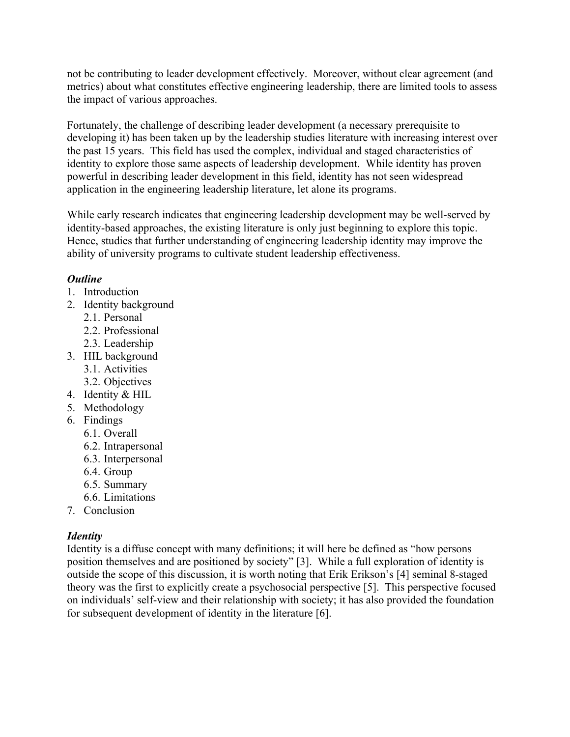not be contributing to leader development effectively. Moreover, without clear agreement (and metrics) about what constitutes effective engineering leadership, there are limited tools to assess the impact of various approaches.

Fortunately, the challenge of describing leader development (a necessary prerequisite to developing it) has been taken up by the leadership studies literature with increasing interest over the past 15 years. This field has used the complex, individual and staged characteristics of identity to explore those same aspects of leadership development. While identity has proven powerful in describing leader development in this field, identity has not seen widespread application in the engineering leadership literature, let alone its programs.

While early research indicates that engineering leadership development may be well-served by identity-based approaches, the existing literature is only just beginning to explore this topic. Hence, studies that further understanding of engineering leadership identity may improve the ability of university programs to cultivate student leadership effectiveness.

# *Outline*

- 1. Introduction
- 2. Identity background
	- 2.1. Personal
	- 2.2. Professional
	- 2.3. Leadership
- 3. HIL background
	- 3.1. Activities
	- 3.2. Objectives
- 4. Identity & HIL
- 5. Methodology
- 6. Findings
	- 6.1. Overall
	- 6.2. Intrapersonal
	- 6.3. Interpersonal
	- 6.4. Group
	- 6.5. Summary
	- 6.6. Limitations
- 7. Conclusion

# *Identity*

Identity is a diffuse concept with many definitions; it will here be defined as "how persons position themselves and are positioned by society" [3]. While a full exploration of identity is outside the scope of this discussion, it is worth noting that Erik Erikson's [4] seminal 8-staged theory was the first to explicitly create a psychosocial perspective [5]. This perspective focused on individuals' self-view and their relationship with society; it has also provided the foundation for subsequent development of identity in the literature [6].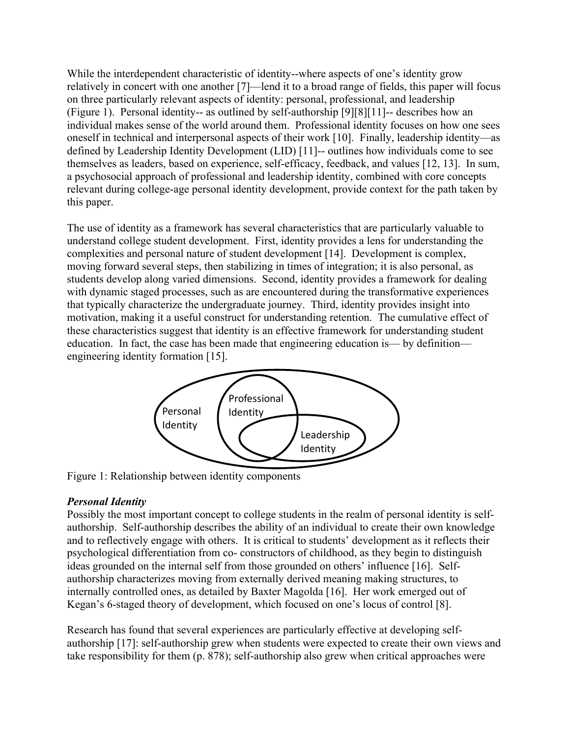While the interdependent characteristic of identity--where aspects of one's identity grow relatively in concert with one another [7]—lend it to a broad range of fields, this paper will focus on three particularly relevant aspects of identity: personal, professional, and leadership (Figure 1). Personal identity-- as outlined by self-authorship [9][8][11]-- describes how an individual makes sense of the world around them. Professional identity focuses on how one sees oneself in technical and interpersonal aspects of their work [10]. Finally, leadership identity—as defined by Leadership Identity Development (LID) [11]-- outlines how individuals come to see themselves as leaders, based on experience, self-efficacy, feedback, and values [12, 13]. In sum, a psychosocial approach of professional and leadership identity, combined with core concepts relevant during college-age personal identity development, provide context for the path taken by this paper.

The use of identity as a framework has several characteristics that are particularly valuable to understand college student development. First, identity provides a lens for understanding the complexities and personal nature of student development [14]. Development is complex, moving forward several steps, then stabilizing in times of integration; it is also personal, as students develop along varied dimensions. Second, identity provides a framework for dealing with dynamic staged processes, such as are encountered during the transformative experiences that typically characterize the undergraduate journey. Third, identity provides insight into motivation, making it a useful construct for understanding retention. The cumulative effect of these characteristics suggest that identity is an effective framework for understanding student education. In fact, the case has been made that engineering education is— by definition engineering identity formation [15].



Figure 1: Relationship between identity components

# *Personal Identity*

Possibly the most important concept to college students in the realm of personal identity is selfauthorship. Self-authorship describes the ability of an individual to create their own knowledge and to reflectively engage with others. It is critical to students' development as it reflects their psychological differentiation from co- constructors of childhood, as they begin to distinguish ideas grounded on the internal self from those grounded on others' influence [16]. Selfauthorship characterizes moving from externally derived meaning making structures, to internally controlled ones, as detailed by Baxter Magolda [16]. Her work emerged out of Kegan's 6-staged theory of development, which focused on one's locus of control [8].

Research has found that several experiences are particularly effective at developing selfauthorship [17]: self-authorship grew when students were expected to create their own views and take responsibility for them (p. 878); self-authorship also grew when critical approaches were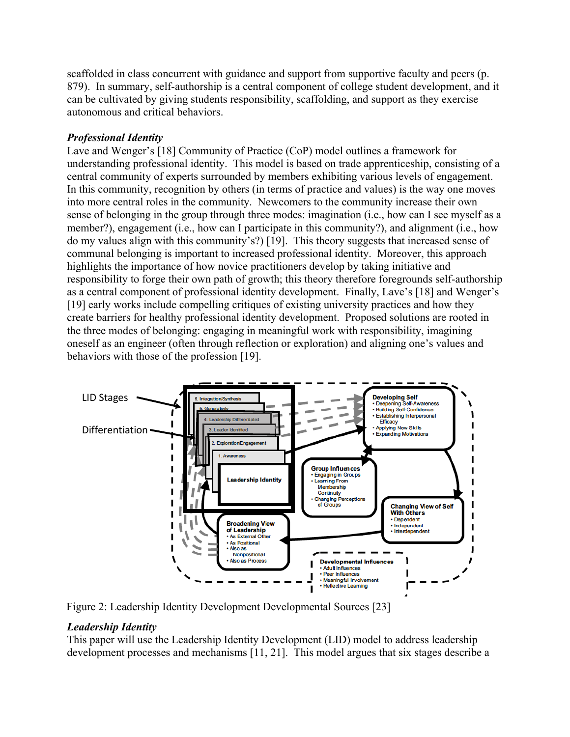scaffolded in class concurrent with guidance and support from supportive faculty and peers (p. 879). In summary, self-authorship is a central component of college student development, and it can be cultivated by giving students responsibility, scaffolding, and support as they exercise autonomous and critical behaviors.

# *Professional Identity*

Lave and Wenger's [18] Community of Practice (CoP) model outlines a framework for understanding professional identity. This model is based on trade apprenticeship, consisting of a central community of experts surrounded by members exhibiting various levels of engagement. In this community, recognition by others (in terms of practice and values) is the way one moves into more central roles in the community. Newcomers to the community increase their own sense of belonging in the group through three modes: imagination (i.e., how can I see myself as a member?), engagement (i.e., how can I participate in this community?), and alignment (i.e., how do my values align with this community's?) [19]. This theory suggests that increased sense of communal belonging is important to increased professional identity. Moreover, this approach highlights the importance of how novice practitioners develop by taking initiative and responsibility to forge their own path of growth; this theory therefore foregrounds self-authorship as a central component of professional identity development. Finally, Lave's [18] and Wenger's [19] early works include compelling critiques of existing university practices and how they create barriers for healthy professional identity development. Proposed solutions are rooted in the three modes of belonging: engaging in meaningful work with responsibility, imagining oneself as an engineer (often through reflection or exploration) and aligning one's values and behaviors with those of the profession [19].



Figure 2: Leadership Identity Development Developmental Sources [23]

# *Leadership Identity*

This paper will use the Leadership Identity Development (LID) model to address leadership development processes and mechanisms [11, 21]. This model argues that six stages describe a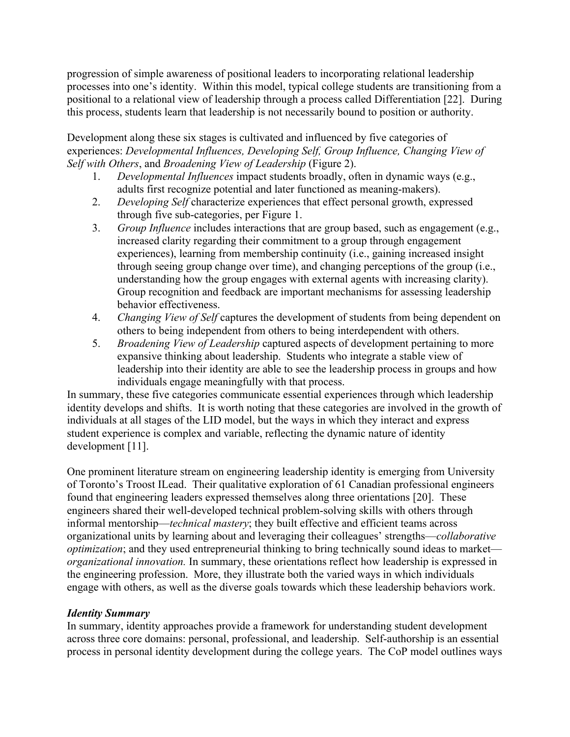progression of simple awareness of positional leaders to incorporating relational leadership processes into one's identity. Within this model, typical college students are transitioning from a positional to a relational view of leadership through a process called Differentiation [22]. During this process, students learn that leadership is not necessarily bound to position or authority.

Development along these six stages is cultivated and influenced by five categories of experiences: *Developmental Influences, Developing Self, Group Influence, Changing View of Self with Others*, and *Broadening View of Leadership* (Figure 2).

- 1. *Developmental Influences* impact students broadly, often in dynamic ways (e.g., adults first recognize potential and later functioned as meaning-makers).
- 2. *Developing Self* characterize experiences that effect personal growth, expressed through five sub-categories, per Figure 1.
- 3. *Group Influence* includes interactions that are group based, such as engagement (e.g., increased clarity regarding their commitment to a group through engagement experiences), learning from membership continuity (i.e., gaining increased insight through seeing group change over time), and changing perceptions of the group (i.e., understanding how the group engages with external agents with increasing clarity). Group recognition and feedback are important mechanisms for assessing leadership behavior effectiveness.
- 4. *Changing View of Self* captures the development of students from being dependent on others to being independent from others to being interdependent with others.
- 5. *Broadening View of Leadership* captured aspects of development pertaining to more expansive thinking about leadership. Students who integrate a stable view of leadership into their identity are able to see the leadership process in groups and how individuals engage meaningfully with that process.

In summary, these five categories communicate essential experiences through which leadership identity develops and shifts. It is worth noting that these categories are involved in the growth of individuals at all stages of the LID model, but the ways in which they interact and express student experience is complex and variable, reflecting the dynamic nature of identity development [11].

One prominent literature stream on engineering leadership identity is emerging from University of Toronto's Troost ILead. Their qualitative exploration of 61 Canadian professional engineers found that engineering leaders expressed themselves along three orientations [20]. These engineers shared their well-developed technical problem-solving skills with others through informal mentorship—*technical mastery*; they built effective and efficient teams across organizational units by learning about and leveraging their colleagues' strengths—*collaborative optimization*; and they used entrepreneurial thinking to bring technically sound ideas to market *organizational innovation.* In summary, these orientations reflect how leadership is expressed in the engineering profession. More, they illustrate both the varied ways in which individuals engage with others, as well as the diverse goals towards which these leadership behaviors work.

# *Identity Summary*

In summary, identity approaches provide a framework for understanding student development across three core domains: personal, professional, and leadership. Self-authorship is an essential process in personal identity development during the college years. The CoP model outlines ways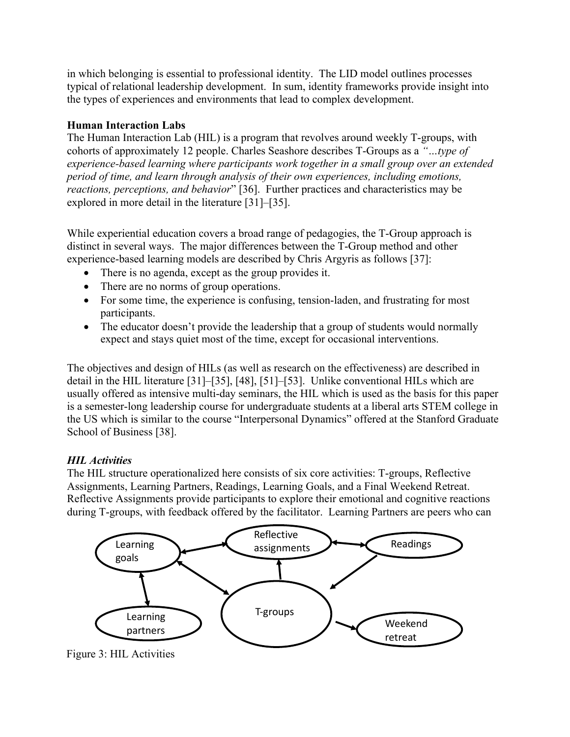in which belonging is essential to professional identity. The LID model outlines processes typical of relational leadership development. In sum, identity frameworks provide insight into the types of experiences and environments that lead to complex development.

# **Human Interaction Labs**

The Human Interaction Lab (HIL) is a program that revolves around weekly T-groups, with cohorts of approximately 12 people. Charles Seashore describes T-Groups as a *"…type of experience-based learning where participants work together in a small group over an extended period of time, and learn through analysis of their own experiences, including emotions, reactions, perceptions, and behavior*" [36]. Further practices and characteristics may be explored in more detail in the literature [31]–[35].

While experiential education covers a broad range of pedagogies, the T-Group approach is distinct in several ways. The major differences between the T-Group method and other experience-based learning models are described by Chris Argyris as follows [37]:

- There is no agenda, except as the group provides it.
- There are no norms of group operations.
- For some time, the experience is confusing, tension-laden, and frustrating for most participants.
- The educator doesn't provide the leadership that a group of students would normally expect and stays quiet most of the time, except for occasional interventions.

The objectives and design of HILs (as well as research on the effectiveness) are described in detail in the HIL literature [31]–[35], [48], [51]–[53]. Unlike conventional HILs which are usually offered as intensive multi-day seminars, the HIL which is used as the basis for this paper is a semester-long leadership course for undergraduate students at a liberal arts STEM college in the US which is similar to the course "Interpersonal Dynamics" offered at the Stanford Graduate School of Business [38].

# *HIL Activities*

The HIL structure operationalized here consists of six core activities: T-groups, Reflective Assignments, Learning Partners, Readings, Learning Goals, and a Final Weekend Retreat. Reflective Assignments provide participants to explore their emotional and cognitive reactions during T-groups, with feedback offered by the facilitator. Learning Partners are peers who can



Figure 3: HIL Activities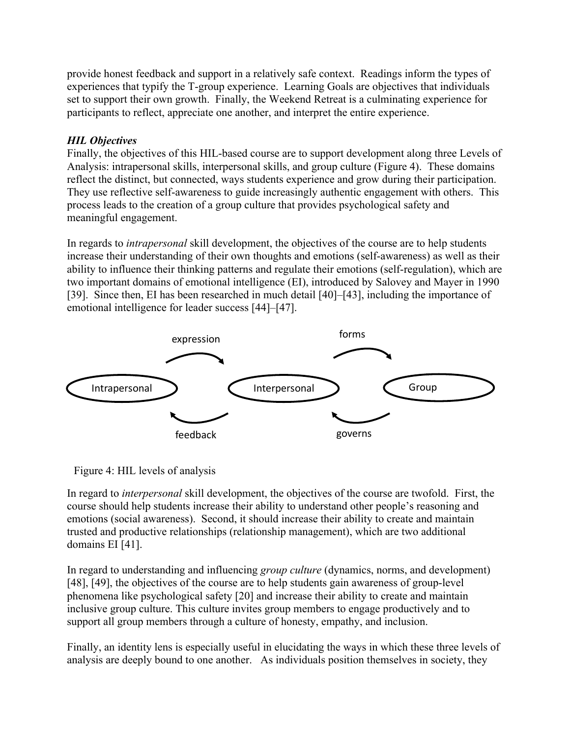provide honest feedback and support in a relatively safe context. Readings inform the types of experiences that typify the T-group experience. Learning Goals are objectives that individuals set to support their own growth. Finally, the Weekend Retreat is a culminating experience for participants to reflect, appreciate one another, and interpret the entire experience.

# *HIL Objectives*

Finally, the objectives of this HIL-based course are to support development along three Levels of Analysis: intrapersonal skills, interpersonal skills, and group culture (Figure 4). These domains reflect the distinct, but connected, ways students experience and grow during their participation. They use reflective self-awareness to guide increasingly authentic engagement with others. This process leads to the creation of a group culture that provides psychological safety and meaningful engagement.

In regards to *intrapersonal* skill development, the objectives of the course are to help students increase their understanding of their own thoughts and emotions (self-awareness) as well as their ability to influence their thinking patterns and regulate their emotions (self-regulation), which are two important domains of emotional intelligence (EI), introduced by Salovey and Mayer in 1990 [39]. Since then, EI has been researched in much detail [40]–[43], including the importance of emotional intelligence for leader success [44]–[47].



Figure 4: HIL levels of analysis

In regard to *interpersonal* skill development, the objectives of the course are twofold. First, the course should help students increase their ability to understand other people's reasoning and emotions (social awareness). Second, it should increase their ability to create and maintain trusted and productive relationships (relationship management), which are two additional domains EI [41].

In regard to understanding and influencing *group culture* (dynamics, norms, and development) [48], [49], the objectives of the course are to help students gain awareness of group-level phenomena like psychological safety [20] and increase their ability to create and maintain inclusive group culture. This culture invites group members to engage productively and to support all group members through a culture of honesty, empathy, and inclusion.

Finally, an identity lens is especially useful in elucidating the ways in which these three levels of analysis are deeply bound to one another. As individuals position themselves in society, they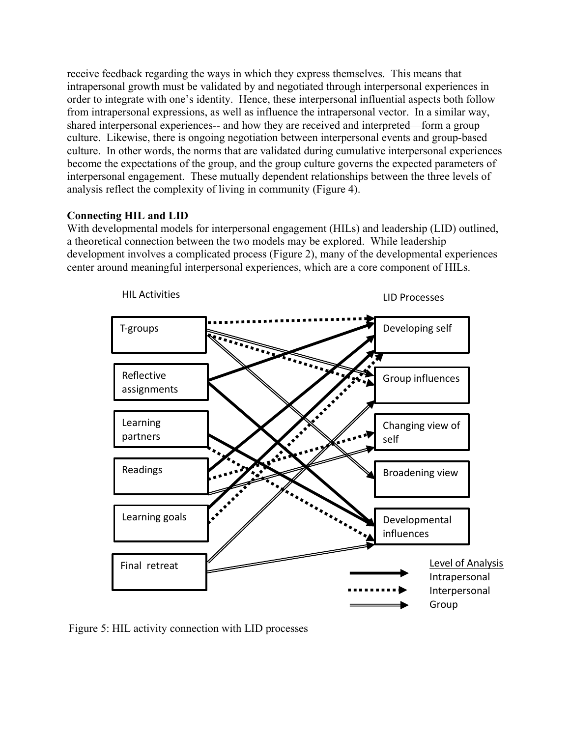receive feedback regarding the ways in which they express themselves. This means that intrapersonal growth must be validated by and negotiated through interpersonal experiences in order to integrate with one's identity. Hence, these interpersonal influential aspects both follow from intrapersonal expressions, as well as influence the intrapersonal vector. In a similar way, shared interpersonal experiences-- and how they are received and interpreted—form a group culture. Likewise, there is ongoing negotiation between interpersonal events and group-based culture. In other words, the norms that are validated during cumulative interpersonal experiences become the expectations of the group, and the group culture governs the expected parameters of interpersonal engagement. These mutually dependent relationships between the three levels of analysis reflect the complexity of living in community (Figure 4).

# **Connecting HIL and LID**

With developmental models for interpersonal engagement (HILs) and leadership (LID) outlined, a theoretical connection between the two models may be explored. While leadership development involves a complicated process (Figure 2), many of the developmental experiences center around meaningful interpersonal experiences, which are a core component of HILs.



Figure 5: HIL activity connection with LID processes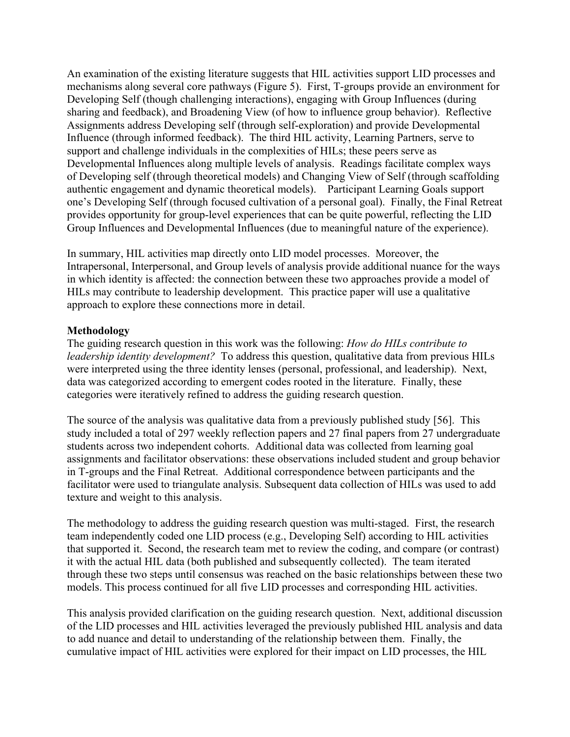An examination of the existing literature suggests that HIL activities support LID processes and mechanisms along several core pathways (Figure 5). First, T-groups provide an environment for Developing Self (though challenging interactions), engaging with Group Influences (during sharing and feedback), and Broadening View (of how to influence group behavior). Reflective Assignments address Developing self (through self-exploration) and provide Developmental Influence (through informed feedback). The third HIL activity, Learning Partners, serve to support and challenge individuals in the complexities of HILs; these peers serve as Developmental Influences along multiple levels of analysis. Readings facilitate complex ways of Developing self (through theoretical models) and Changing View of Self (through scaffolding authentic engagement and dynamic theoretical models). Participant Learning Goals support one's Developing Self (through focused cultivation of a personal goal). Finally, the Final Retreat provides opportunity for group-level experiences that can be quite powerful, reflecting the LID Group Influences and Developmental Influences (due to meaningful nature of the experience).

In summary, HIL activities map directly onto LID model processes. Moreover, the Intrapersonal, Interpersonal, and Group levels of analysis provide additional nuance for the ways in which identity is affected: the connection between these two approaches provide a model of HILs may contribute to leadership development. This practice paper will use a qualitative approach to explore these connections more in detail.

## **Methodology**

The guiding research question in this work was the following: *How do HILs contribute to leadership identity development?* To address this question, qualitative data from previous HILs were interpreted using the three identity lenses (personal, professional, and leadership). Next, data was categorized according to emergent codes rooted in the literature. Finally, these categories were iteratively refined to address the guiding research question.

The source of the analysis was qualitative data from a previously published study [56]. This study included a total of 297 weekly reflection papers and 27 final papers from 27 undergraduate students across two independent cohorts. Additional data was collected from learning goal assignments and facilitator observations: these observations included student and group behavior in T-groups and the Final Retreat. Additional correspondence between participants and the facilitator were used to triangulate analysis. Subsequent data collection of HILs was used to add texture and weight to this analysis.

The methodology to address the guiding research question was multi-staged. First, the research team independently coded one LID process (e.g., Developing Self) according to HIL activities that supported it. Second, the research team met to review the coding, and compare (or contrast) it with the actual HIL data (both published and subsequently collected). The team iterated through these two steps until consensus was reached on the basic relationships between these two models. This process continued for all five LID processes and corresponding HIL activities.

This analysis provided clarification on the guiding research question. Next, additional discussion of the LID processes and HIL activities leveraged the previously published HIL analysis and data to add nuance and detail to understanding of the relationship between them. Finally, the cumulative impact of HIL activities were explored for their impact on LID processes, the HIL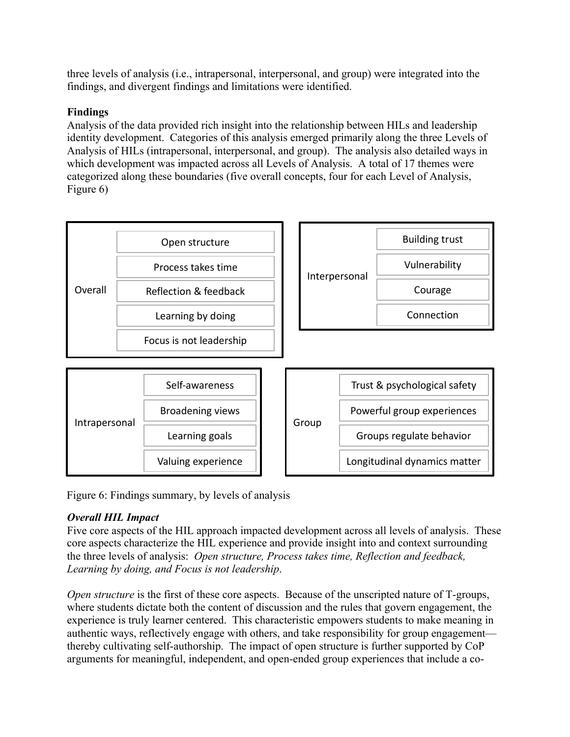three levels of analysis (i.e., intrapersonal, interpersonal, and group) were integrated into the findings, and divergent findings and limitations were identified.

# **Findings**

Analysis of the data provided rich insight into the relationship between HILs and leadership identity development. Categories of this analysis emerged primarily along the three Levels of Analysis of HILs (intrapersonal, interpersonal, and group). The analysis also detailed ways in which development was impacted across all Levels of Analysis. A total of 17 themes were categorized along these boundaries (five overall concepts, four for each Level of Analysis, Figure 6)



Figure 6: Findings summary, by levels of analysis

# *Overall HIL Impact*

Five core aspects of the HIL approach impacted development across all levels of analysis. These core aspects characterize the HIL experience and provide insight into and context surrounding the three levels of analysis: *Open structure, Process takes time, Reflection and feedback, Learning by doing, and Focus is not leadership*.

*Open structure* is the first of these core aspects. Because of the unscripted nature of T-groups, where students dictate both the content of discussion and the rules that govern engagement, the experience is truly learner centered. This characteristic empowers students to make meaning in authentic ways, reflectively engage with others, and take responsibility for group engagement thereby cultivating self-authorship. The impact of open structure is further supported by CoP arguments for meaningful, independent, and open-ended group experiences that include a co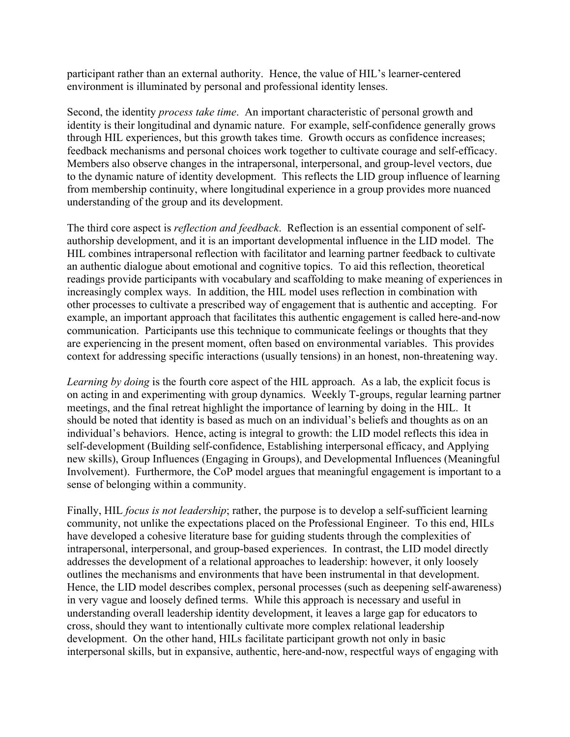participant rather than an external authority. Hence, the value of HIL's learner-centered environment is illuminated by personal and professional identity lenses.

Second, the identity *process take time*. An important characteristic of personal growth and identity is their longitudinal and dynamic nature. For example, self-confidence generally grows through HIL experiences, but this growth takes time. Growth occurs as confidence increases; feedback mechanisms and personal choices work together to cultivate courage and self-efficacy. Members also observe changes in the intrapersonal, interpersonal, and group-level vectors, due to the dynamic nature of identity development. This reflects the LID group influence of learning from membership continuity, where longitudinal experience in a group provides more nuanced understanding of the group and its development.

The third core aspect is *reflection and feedback*. Reflection is an essential component of selfauthorship development, and it is an important developmental influence in the LID model. The HIL combines intrapersonal reflection with facilitator and learning partner feedback to cultivate an authentic dialogue about emotional and cognitive topics. To aid this reflection, theoretical readings provide participants with vocabulary and scaffolding to make meaning of experiences in increasingly complex ways. In addition, the HIL model uses reflection in combination with other processes to cultivate a prescribed way of engagement that is authentic and accepting. For example, an important approach that facilitates this authentic engagement is called here-and-now communication. Participants use this technique to communicate feelings or thoughts that they are experiencing in the present moment, often based on environmental variables. This provides context for addressing specific interactions (usually tensions) in an honest, non-threatening way.

*Learning by doing* is the fourth core aspect of the HIL approach. As a lab, the explicit focus is on acting in and experimenting with group dynamics. Weekly T-groups, regular learning partner meetings, and the final retreat highlight the importance of learning by doing in the HIL. It should be noted that identity is based as much on an individual's beliefs and thoughts as on an individual's behaviors. Hence, acting is integral to growth: the LID model reflects this idea in self-development (Building self-confidence, Establishing interpersonal efficacy, and Applying new skills), Group Influences (Engaging in Groups), and Developmental Influences (Meaningful Involvement). Furthermore, the CoP model argues that meaningful engagement is important to a sense of belonging within a community.

Finally, HIL *focus is not leadership*; rather, the purpose is to develop a self-sufficient learning community, not unlike the expectations placed on the Professional Engineer. To this end, HILs have developed a cohesive literature base for guiding students through the complexities of intrapersonal, interpersonal, and group-based experiences. In contrast, the LID model directly addresses the development of a relational approaches to leadership: however, it only loosely outlines the mechanisms and environments that have been instrumental in that development. Hence, the LID model describes complex, personal processes (such as deepening self-awareness) in very vague and loosely defined terms. While this approach is necessary and useful in understanding overall leadership identity development, it leaves a large gap for educators to cross, should they want to intentionally cultivate more complex relational leadership development. On the other hand, HILs facilitate participant growth not only in basic interpersonal skills, but in expansive, authentic, here-and-now, respectful ways of engaging with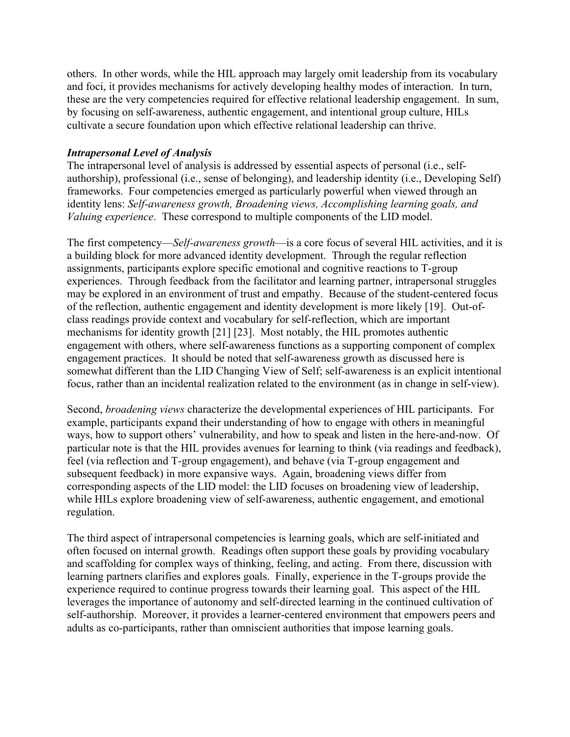others. In other words, while the HIL approach may largely omit leadership from its vocabulary and foci, it provides mechanisms for actively developing healthy modes of interaction. In turn, these are the very competencies required for effective relational leadership engagement. In sum, by focusing on self-awareness, authentic engagement, and intentional group culture, HILs cultivate a secure foundation upon which effective relational leadership can thrive.

## *Intrapersonal Level of Analysis*

The intrapersonal level of analysis is addressed by essential aspects of personal (i.e., selfauthorship), professional (i.e., sense of belonging), and leadership identity (i.e., Developing Self) frameworks. Four competencies emerged as particularly powerful when viewed through an identity lens: *Self-awareness growth, Broadening views, Accomplishing learning goals, and Valuing experience*. These correspond to multiple components of the LID model.

The first competency—*Self-awareness growth*—is a core focus of several HIL activities, and it is a building block for more advanced identity development. Through the regular reflection assignments, participants explore specific emotional and cognitive reactions to T-group experiences. Through feedback from the facilitator and learning partner, intrapersonal struggles may be explored in an environment of trust and empathy. Because of the student-centered focus of the reflection, authentic engagement and identity development is more likely [19]. Out-ofclass readings provide context and vocabulary for self-reflection, which are important mechanisms for identity growth [21] [23]. Most notably, the HIL promotes authentic engagement with others, where self-awareness functions as a supporting component of complex engagement practices. It should be noted that self-awareness growth as discussed here is somewhat different than the LID Changing View of Self; self-awareness is an explicit intentional focus, rather than an incidental realization related to the environment (as in change in self-view).

Second, *broadening views* characterize the developmental experiences of HIL participants. For example, participants expand their understanding of how to engage with others in meaningful ways, how to support others' vulnerability, and how to speak and listen in the here-and-now. Of particular note is that the HIL provides avenues for learning to think (via readings and feedback), feel (via reflection and T-group engagement), and behave (via T-group engagement and subsequent feedback) in more expansive ways. Again, broadening views differ from corresponding aspects of the LID model: the LID focuses on broadening view of leadership, while HILs explore broadening view of self-awareness, authentic engagement, and emotional regulation.

The third aspect of intrapersonal competencies is learning goals, which are self-initiated and often focused on internal growth. Readings often support these goals by providing vocabulary and scaffolding for complex ways of thinking, feeling, and acting. From there, discussion with learning partners clarifies and explores goals. Finally, experience in the T-groups provide the experience required to continue progress towards their learning goal. This aspect of the HIL leverages the importance of autonomy and self-directed learning in the continued cultivation of self-authorship. Moreover, it provides a learner-centered environment that empowers peers and adults as co-participants, rather than omniscient authorities that impose learning goals.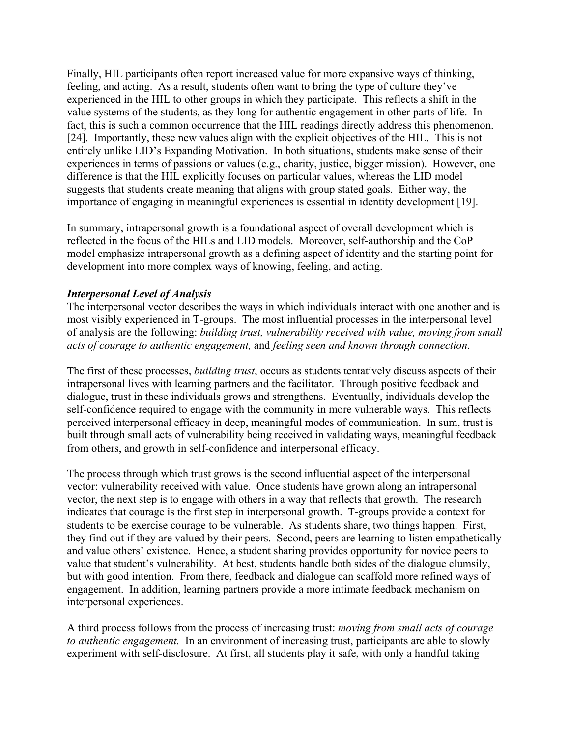Finally, HIL participants often report increased value for more expansive ways of thinking, feeling, and acting. As a result, students often want to bring the type of culture they've experienced in the HIL to other groups in which they participate. This reflects a shift in the value systems of the students, as they long for authentic engagement in other parts of life. In fact, this is such a common occurrence that the HIL readings directly address this phenomenon. [24]. Importantly, these new values align with the explicit objectives of the HIL. This is not entirely unlike LID's Expanding Motivation. In both situations, students make sense of their experiences in terms of passions or values (e.g., charity, justice, bigger mission). However, one difference is that the HIL explicitly focuses on particular values, whereas the LID model suggests that students create meaning that aligns with group stated goals. Either way, the importance of engaging in meaningful experiences is essential in identity development [19].

In summary, intrapersonal growth is a foundational aspect of overall development which is reflected in the focus of the HILs and LID models. Moreover, self-authorship and the CoP model emphasize intrapersonal growth as a defining aspect of identity and the starting point for development into more complex ways of knowing, feeling, and acting.

# *Interpersonal Level of Analysis*

The interpersonal vector describes the ways in which individuals interact with one another and is most visibly experienced in T-groups. The most influential processes in the interpersonal level of analysis are the following: *building trust, vulnerability received with value, moving from small acts of courage to authentic engagement,* and *feeling seen and known through connection*.

The first of these processes, *building trust*, occurs as students tentatively discuss aspects of their intrapersonal lives with learning partners and the facilitator. Through positive feedback and dialogue, trust in these individuals grows and strengthens. Eventually, individuals develop the self-confidence required to engage with the community in more vulnerable ways. This reflects perceived interpersonal efficacy in deep, meaningful modes of communication. In sum, trust is built through small acts of vulnerability being received in validating ways, meaningful feedback from others, and growth in self-confidence and interpersonal efficacy.

The process through which trust grows is the second influential aspect of the interpersonal vector: vulnerability received with value. Once students have grown along an intrapersonal vector, the next step is to engage with others in a way that reflects that growth. The research indicates that courage is the first step in interpersonal growth. T-groups provide a context for students to be exercise courage to be vulnerable. As students share, two things happen. First, they find out if they are valued by their peers. Second, peers are learning to listen empathetically and value others' existence. Hence, a student sharing provides opportunity for novice peers to value that student's vulnerability. At best, students handle both sides of the dialogue clumsily, but with good intention. From there, feedback and dialogue can scaffold more refined ways of engagement. In addition, learning partners provide a more intimate feedback mechanism on interpersonal experiences.

A third process follows from the process of increasing trust: *moving from small acts of courage to authentic engagement.* In an environment of increasing trust, participants are able to slowly experiment with self-disclosure. At first, all students play it safe, with only a handful taking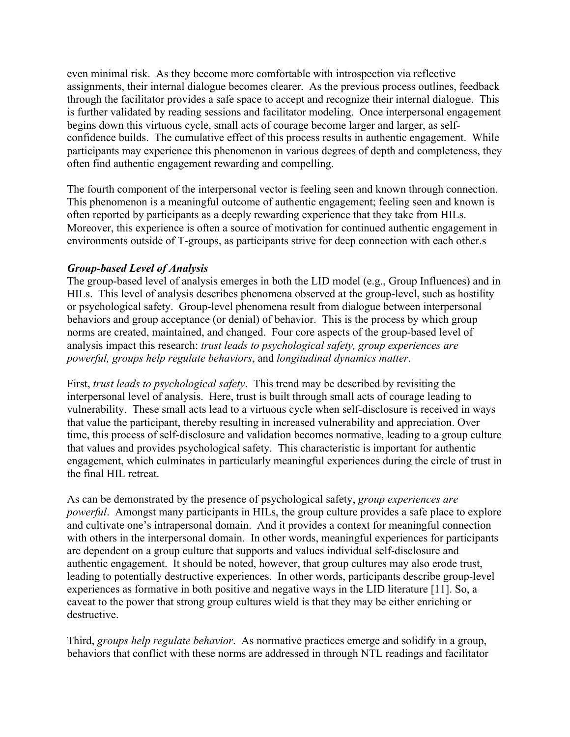even minimal risk. As they become more comfortable with introspection via reflective assignments, their internal dialogue becomes clearer. As the previous process outlines, feedback through the facilitator provides a safe space to accept and recognize their internal dialogue. This is further validated by reading sessions and facilitator modeling. Once interpersonal engagement begins down this virtuous cycle, small acts of courage become larger and larger, as selfconfidence builds. The cumulative effect of this process results in authentic engagement. While participants may experience this phenomenon in various degrees of depth and completeness, they often find authentic engagement rewarding and compelling.

The fourth component of the interpersonal vector is feeling seen and known through connection. This phenomenon is a meaningful outcome of authentic engagement; feeling seen and known is often reported by participants as a deeply rewarding experience that they take from HILs. Moreover, this experience is often a source of motivation for continued authentic engagement in environments outside of T-groups, as participants strive for deep connection with each other.s

## *Group-based Level of Analysis*

The group-based level of analysis emerges in both the LID model (e.g., Group Influences) and in HILs. This level of analysis describes phenomena observed at the group-level, such as hostility or psychological safety. Group-level phenomena result from dialogue between interpersonal behaviors and group acceptance (or denial) of behavior. This is the process by which group norms are created, maintained, and changed. Four core aspects of the group-based level of analysis impact this research: *trust leads to psychological safety, group experiences are powerful, groups help regulate behaviors*, and *longitudinal dynamics matter*.

First, *trust leads to psychological safety*. This trend may be described by revisiting the interpersonal level of analysis. Here, trust is built through small acts of courage leading to vulnerability. These small acts lead to a virtuous cycle when self-disclosure is received in ways that value the participant, thereby resulting in increased vulnerability and appreciation. Over time, this process of self-disclosure and validation becomes normative, leading to a group culture that values and provides psychological safety. This characteristic is important for authentic engagement, which culminates in particularly meaningful experiences during the circle of trust in the final HIL retreat.

As can be demonstrated by the presence of psychological safety, *group experiences are powerful*. Amongst many participants in HILs, the group culture provides a safe place to explore and cultivate one's intrapersonal domain. And it provides a context for meaningful connection with others in the interpersonal domain. In other words, meaningful experiences for participants are dependent on a group culture that supports and values individual self-disclosure and authentic engagement. It should be noted, however, that group cultures may also erode trust, leading to potentially destructive experiences. In other words, participants describe group-level experiences as formative in both positive and negative ways in the LID literature [11]. So, a caveat to the power that strong group cultures wield is that they may be either enriching or destructive.

Third, *groups help regulate behavior*. As normative practices emerge and solidify in a group, behaviors that conflict with these norms are addressed in through NTL readings and facilitator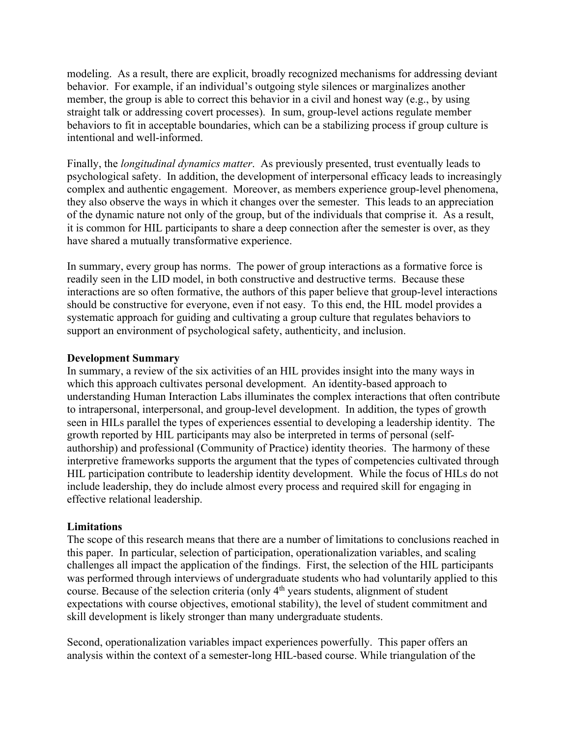modeling. As a result, there are explicit, broadly recognized mechanisms for addressing deviant behavior. For example, if an individual's outgoing style silences or marginalizes another member, the group is able to correct this behavior in a civil and honest way (e.g., by using straight talk or addressing covert processes). In sum, group-level actions regulate member behaviors to fit in acceptable boundaries, which can be a stabilizing process if group culture is intentional and well-informed.

Finally, the *longitudinal dynamics matter*. As previously presented, trust eventually leads to psychological safety. In addition, the development of interpersonal efficacy leads to increasingly complex and authentic engagement. Moreover, as members experience group-level phenomena, they also observe the ways in which it changes over the semester. This leads to an appreciation of the dynamic nature not only of the group, but of the individuals that comprise it. As a result, it is common for HIL participants to share a deep connection after the semester is over, as they have shared a mutually transformative experience.

In summary, every group has norms. The power of group interactions as a formative force is readily seen in the LID model, in both constructive and destructive terms. Because these interactions are so often formative, the authors of this paper believe that group-level interactions should be constructive for everyone, even if not easy. To this end, the HIL model provides a systematic approach for guiding and cultivating a group culture that regulates behaviors to support an environment of psychological safety, authenticity, and inclusion.

## **Development Summary**

In summary, a review of the six activities of an HIL provides insight into the many ways in which this approach cultivates personal development. An identity-based approach to understanding Human Interaction Labs illuminates the complex interactions that often contribute to intrapersonal, interpersonal, and group-level development. In addition, the types of growth seen in HILs parallel the types of experiences essential to developing a leadership identity. The growth reported by HIL participants may also be interpreted in terms of personal (selfauthorship) and professional (Community of Practice) identity theories. The harmony of these interpretive frameworks supports the argument that the types of competencies cultivated through HIL participation contribute to leadership identity development. While the focus of HILs do not include leadership, they do include almost every process and required skill for engaging in effective relational leadership.

# **Limitations**

The scope of this research means that there are a number of limitations to conclusions reached in this paper. In particular, selection of participation, operationalization variables, and scaling challenges all impact the application of the findings. First, the selection of the HIL participants was performed through interviews of undergraduate students who had voluntarily applied to this course. Because of the selection criteria (only 4<sup>th</sup> years students, alignment of student expectations with course objectives, emotional stability), the level of student commitment and skill development is likely stronger than many undergraduate students.

Second, operationalization variables impact experiences powerfully. This paper offers an analysis within the context of a semester-long HIL-based course. While triangulation of the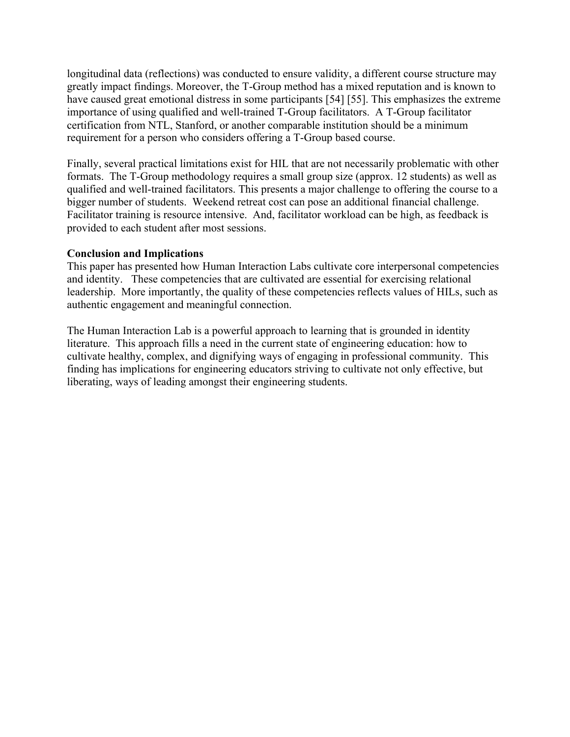longitudinal data (reflections) was conducted to ensure validity, a different course structure may greatly impact findings. Moreover, the T-Group method has a mixed reputation and is known to have caused great emotional distress in some participants [54] [55]. This emphasizes the extreme importance of using qualified and well-trained T-Group facilitators. A T-Group facilitator certification from NTL, Stanford, or another comparable institution should be a minimum requirement for a person who considers offering a T-Group based course.

Finally, several practical limitations exist for HIL that are not necessarily problematic with other formats. The T-Group methodology requires a small group size (approx. 12 students) as well as qualified and well-trained facilitators. This presents a major challenge to offering the course to a bigger number of students. Weekend retreat cost can pose an additional financial challenge. Facilitator training is resource intensive. And, facilitator workload can be high, as feedback is provided to each student after most sessions.

## **Conclusion and Implications**

This paper has presented how Human Interaction Labs cultivate core interpersonal competencies and identity. These competencies that are cultivated are essential for exercising relational leadership. More importantly, the quality of these competencies reflects values of HILs, such as authentic engagement and meaningful connection.

The Human Interaction Lab is a powerful approach to learning that is grounded in identity literature. This approach fills a need in the current state of engineering education: how to cultivate healthy, complex, and dignifying ways of engaging in professional community. This finding has implications for engineering educators striving to cultivate not only effective, but liberating, ways of leading amongst their engineering students.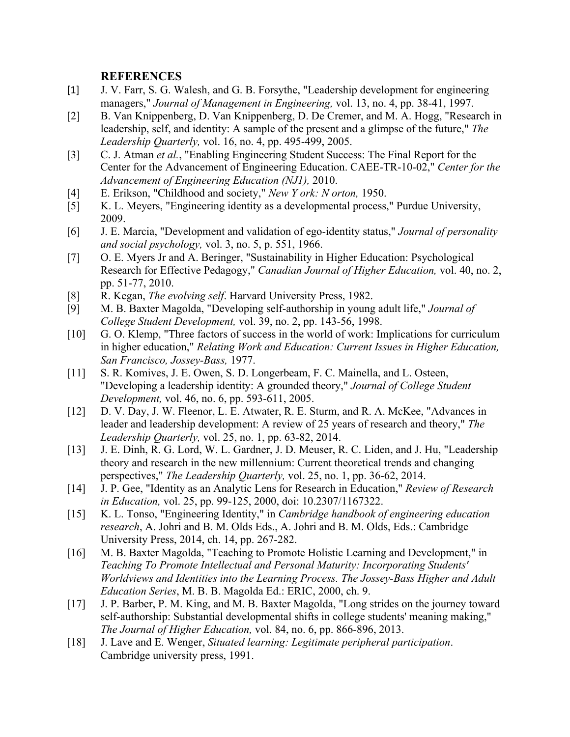### **REFERENCES**

- [1] J. V. Farr, S. G. Walesh, and G. B. Forsythe, "Leadership development for engineering managers," *Journal of Management in Engineering,* vol. 13, no. 4, pp. 38-41, 1997.
- [2] B. Van Knippenberg, D. Van Knippenberg, D. De Cremer, and M. A. Hogg, "Research in leadership, self, and identity: A sample of the present and a glimpse of the future," *The Leadership Quarterly,* vol. 16, no. 4, pp. 495-499, 2005.
- [3] C. J. Atman *et al.*, "Enabling Engineering Student Success: The Final Report for the Center for the Advancement of Engineering Education. CAEE-TR-10-02," *Center for the Advancement of Engineering Education (NJ1),* 2010.
- [4] E. Erikson, "Childhood and society," *New Y ork: N orton,* 1950.
- [5] K. L. Meyers, "Engineering identity as a developmental process," Purdue University, 2009.
- [6] J. E. Marcia, "Development and validation of ego-identity status," *Journal of personality and social psychology,* vol. 3, no. 5, p. 551, 1966.
- [7] O. E. Myers Jr and A. Beringer, "Sustainability in Higher Education: Psychological Research for Effective Pedagogy," *Canadian Journal of Higher Education,* vol. 40, no. 2, pp. 51-77, 2010.
- [8] R. Kegan, *The evolving self*. Harvard University Press, 1982.
- [9] M. B. Baxter Magolda, "Developing self-authorship in young adult life," *Journal of College Student Development,* vol. 39, no. 2, pp. 143-56, 1998.
- [10] G. O. Klemp, "Three factors of success in the world of work: Implications for curriculum in higher education," *Relating Work and Education: Current Issues in Higher Education, San Francisco, Jossey-Bass,* 1977.
- [11] S. R. Komives, J. E. Owen, S. D. Longerbeam, F. C. Mainella, and L. Osteen, "Developing a leadership identity: A grounded theory," *Journal of College Student Development,* vol. 46, no. 6, pp. 593-611, 2005.
- [12] D. V. Day, J. W. Fleenor, L. E. Atwater, R. E. Sturm, and R. A. McKee, "Advances in leader and leadership development: A review of 25 years of research and theory," *The Leadership Quarterly,* vol. 25, no. 1, pp. 63-82, 2014.
- [13] J. E. Dinh, R. G. Lord, W. L. Gardner, J. D. Meuser, R. C. Liden, and J. Hu, "Leadership theory and research in the new millennium: Current theoretical trends and changing perspectives," *The Leadership Quarterly,* vol. 25, no. 1, pp. 36-62, 2014.
- [14] J. P. Gee, "Identity as an Analytic Lens for Research in Education," *Review of Research in Education,* vol. 25, pp. 99-125, 2000, doi: 10.2307/1167322.
- [15] K. L. Tonso, "Engineering Identity," in *Cambridge handbook of engineering education research*, A. Johri and B. M. Olds Eds., A. Johri and B. M. Olds, Eds.: Cambridge University Press, 2014, ch. 14, pp. 267-282.
- [16] M. B. Baxter Magolda, "Teaching to Promote Holistic Learning and Development," in *Teaching To Promote Intellectual and Personal Maturity: Incorporating Students' Worldviews and Identities into the Learning Process. The Jossey-Bass Higher and Adult Education Series*, M. B. B. Magolda Ed.: ERIC, 2000, ch. 9.
- [17] J. P. Barber, P. M. King, and M. B. Baxter Magolda, "Long strides on the journey toward self-authorship: Substantial developmental shifts in college students' meaning making," *The Journal of Higher Education,* vol. 84, no. 6, pp. 866-896, 2013.
- [18] J. Lave and E. Wenger, *Situated learning: Legitimate peripheral participation*. Cambridge university press, 1991.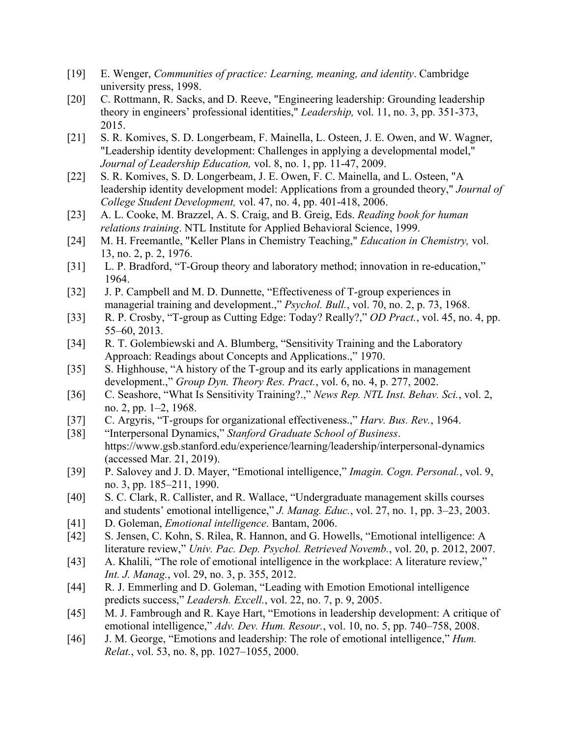- [19] E. Wenger, *Communities of practice: Learning, meaning, and identity*. Cambridge university press, 1998.
- [20] C. Rottmann, R. Sacks, and D. Reeve, "Engineering leadership: Grounding leadership theory in engineers' professional identities," *Leadership,* vol. 11, no. 3, pp. 351-373, 2015.
- [21] S. R. Komives, S. D. Longerbeam, F. Mainella, L. Osteen, J. E. Owen, and W. Wagner, "Leadership identity development: Challenges in applying a developmental model," *Journal of Leadership Education,* vol. 8, no. 1, pp. 11-47, 2009.
- [22] S. R. Komives, S. D. Longerbeam, J. E. Owen, F. C. Mainella, and L. Osteen, "A leadership identity development model: Applications from a grounded theory," *Journal of College Student Development,* vol. 47, no. 4, pp. 401-418, 2006.
- [23] A. L. Cooke, M. Brazzel, A. S. Craig, and B. Greig, Eds. *Reading book for human relations training*. NTL Institute for Applied Behavioral Science, 1999.
- [24] M. H. Freemantle, "Keller Plans in Chemistry Teaching," *Education in Chemistry,* vol. 13, no. 2, p. 2, 1976.
- [31] L. P. Bradford, "T-Group theory and laboratory method; innovation in re-education," 1964.
- [32] J. P. Campbell and M. D. Dunnette, "Effectiveness of T-group experiences in managerial training and development.," *Psychol. Bull.*, vol. 70, no. 2, p. 73, 1968.
- [33] R. P. Crosby, "T-group as Cutting Edge: Today? Really?," *OD Pract.*, vol. 45, no. 4, pp. 55–60, 2013.
- [34] R. T. Golembiewski and A. Blumberg, "Sensitivity Training and the Laboratory Approach: Readings about Concepts and Applications.," 1970.
- [35] S. Highhouse, "A history of the T-group and its early applications in management development.," *Group Dyn. Theory Res. Pract.*, vol. 6, no. 4, p. 277, 2002.
- [36] C. Seashore, "What Is Sensitivity Training?.," *News Rep. NTL Inst. Behav. Sci.*, vol. 2, no. 2, pp. 1–2, 1968.
- [37] C. Argyris, "T-groups for organizational effectiveness.," *Harv. Bus. Rev.*, 1964.
- [38] "Interpersonal Dynamics," *Stanford Graduate School of Business*. https://www.gsb.stanford.edu/experience/learning/leadership/interpersonal-dynamics (accessed Mar. 21, 2019).
- [39] P. Salovey and J. D. Mayer, "Emotional intelligence," *Imagin. Cogn. Personal.*, vol. 9, no. 3, pp. 185–211, 1990.
- [40] S. C. Clark, R. Callister, and R. Wallace, "Undergraduate management skills courses and students' emotional intelligence," *J. Manag. Educ.*, vol. 27, no. 1, pp. 3–23, 2003.
- [41] D. Goleman, *Emotional intelligence*. Bantam, 2006.
- [42] S. Jensen, C. Kohn, S. Rilea, R. Hannon, and G. Howells, "Emotional intelligence: A literature review," *Univ. Pac. Dep. Psychol. Retrieved Novemb.*, vol. 20, p. 2012, 2007.
- [43] A. Khalili, "The role of emotional intelligence in the workplace: A literature review," *Int. J. Manag.*, vol. 29, no. 3, p. 355, 2012.
- [44] R. J. Emmerling and D. Goleman, "Leading with Emotion Emotional intelligence predicts success," *Leadersh. Excell.*, vol. 22, no. 7, p. 9, 2005.
- [45] M. J. Fambrough and R. Kaye Hart, "Emotions in leadership development: A critique of emotional intelligence," *Adv. Dev. Hum. Resour.*, vol. 10, no. 5, pp. 740–758, 2008.
- [46] J. M. George, "Emotions and leadership: The role of emotional intelligence," *Hum*. *Relat.*, vol. 53, no. 8, pp. 1027–1055, 2000.